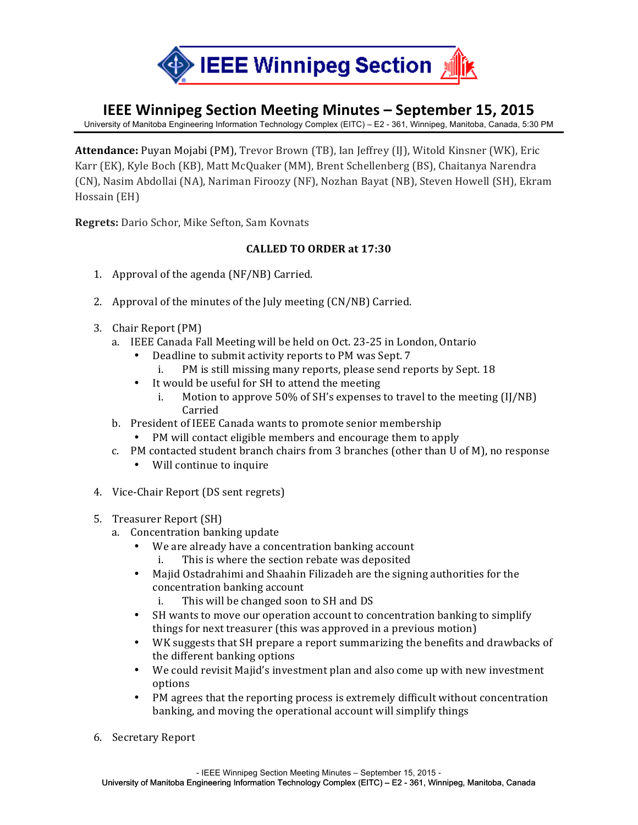

## **IEEE Winnipeg Section Meeting Minutes – September 15, 2015**

University of Manitoba Engineering Information Technology Complex (EITC) – E2 - 361, Winnipeg, Manitoba, Canada, 5:30 PM

**Attendance:** Puyan Mojabi (PM), Trevor Brown (TB), Ian Jeffrey (IJ), Witold Kinsner (WK), Eric Karr (EK), Kyle Boch (KB), Matt McQuaker (MM), Brent Schellenberg (BS), Chaitanya Narendra (CN), Nasim Abdollai (NA), Nariman Firoozy (NF), Nozhan Bayat (NB), Steven Howell (SH), Ekram Hossain (EH)

**Regrets:** Dario Schor, Mike Sefton, Sam Kovnats

## **CALLED TO ORDER at 17:30**

- 1. Approval of the agenda  $(NF/NB)$  Carried.
- 2. Approval of the minutes of the July meeting  $(CN/NB)$  Carried.
- 3. Chair Report (PM)
	- a. IEEE Canada Fall Meeting will be held on Oct. 23-25 in London, Ontario
		- Deadline to submit activity reports to PM was Sept. 7
			- i. PM is still missing many reports, please send reports by Sept. 18
		- It would be useful for SH to attend the meeting
			- i. Motion to approve  $50\%$  of SH's expenses to travel to the meeting (IJ/NB) Carried
	- b. President of IEEE Canada wants to promote senior membership
		- PM will contact eligible members and encourage them to apply
	- c. PM contacted student branch chairs from 3 branches (other than  $U$  of  $M$ ), no response
		- Will continue to inquire
- 4. Vice-Chair Report (DS sent regrets)
- 5. Treasurer Report (SH)
	- a. Concentration banking update
		- We are already have a concentration banking account
			- i. This is where the section rebate was deposited
		- Majid Ostadrahimi and Shaahin Filizadeh are the signing authorities for the concentration banking account
			- i. This will be changed soon to SH and DS
		- SH wants to move our operation account to concentration banking to simplify things for next treasurer (this was approved in a previous motion)
		- WK suggests that SH prepare a report summarizing the benefits and drawbacks of the different banking options
		- We could revisit Majid's investment plan and also come up with new investment options
		- PM agrees that the reporting process is extremely difficult without concentration banking, and moving the operational account will simplify things
- 6. Secretary Report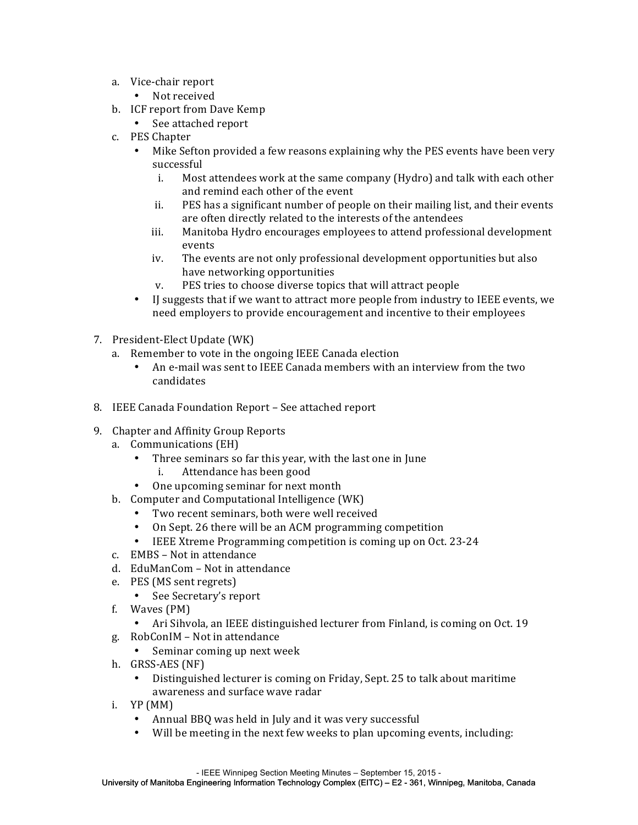- a. Vice-chair report
	- Not received
- b. ICF report from Dave Kemp
	- See attached report
- c. PES Chapter
	- Mike Sefton provided a few reasons explaining why the PES events have been very successful
		- i. Most attendees work at the same company (Hydro) and talk with each other and remind each other of the event
		- ii. PES has a significant number of people on their mailing list, and their events are often directly related to the interests of the antendees
		- iii. Manitoba Hydro encourages employees to attend professional development events
		- iv. The events are not only professional development opportunities but also have networking opportunities
		- v. PES tries to choose diverse topics that will attract people
	- If suggests that if we want to attract more people from industry to IEEE events, we need employers to provide encouragement and incentive to their employees
- 7. President-Elect Update (WK)
	- a. Remember to vote in the ongoing IEEE Canada election
		- An e-mail was sent to IEEE Canada members with an interview from the two candidates
- 8. IEEE Canada Foundation Report See attached report
- 9. Chapter and Affinity Group Reports
	- a. Communications (EH)
		- Three seminars so far this year, with the last one in June
			- i. Attendance has been good
		- One upcoming seminar for next month
	- b. Computer and Computational Intelligence (WK)
		- Two recent seminars, both were well received
		- On Sept. 26 there will be an ACM programming competition
		- IEEE Xtreme Programming competition is coming up on Oct. 23-24
	- c. EMBS Not in attendance
	- d. EduManCom Not in attendance
	- e. PES (MS sent regrets)
		- See Secretary's report
	- f. Waves (PM)
		- Ari Sihvola, an IEEE distinguished lecturer from Finland, is coming on Oct. 19
	- g. RobConIM Not in attendance
		- Seminar coming up next week
	- h. GRSS-AES (NF)
		- Distinguished lecturer is coming on Friday, Sept. 25 to talk about maritime awareness and surface wave radar
	- i. YP (MM)
		- Annual BBQ was held in July and it was very successful
		- Will be meeting in the next few weeks to plan upcoming events, including: